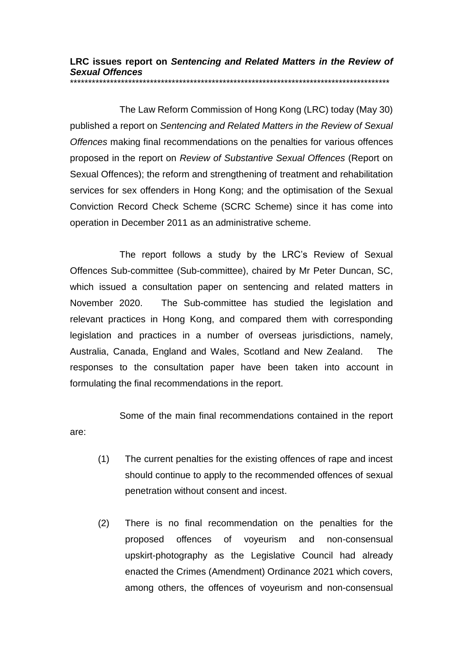## **LRC issues report on** *Sentencing and Related Matters in the Review of Sexual Offences* \*\*\*\*\*\*\*\*\*\*\*\*\*\*\*\*\*\*\*\*\*\*\*\*\*\*\*\*\*\*\*\*\*\*\*\*\*\*\*\*\*\*\*\*\*\*\*\*\*\*\*\*\*\*\*\*\*\*\*\*\*\*\*\*\*\*\*\*\*\*\*\*\*\*\*\*\*\*\*\*\*\*\*\*\*\*\*\*

The Law Reform Commission of Hong Kong (LRC) today (May 30) published a report on *Sentencing and Related Matters in the Review of Sexual Offences* making final recommendations on the penalties for various offences proposed in the report on *Review of Substantive Sexual Offences* (Report on Sexual Offences); the reform and strengthening of treatment and rehabilitation services for sex offenders in Hong Kong; and the optimisation of the Sexual Conviction Record Check Scheme (SCRC Scheme) since it has come into operation in December 2011 as an administrative scheme.

The report follows a study by the LRC's Review of Sexual Offences Sub-committee (Sub-committee), chaired by Mr Peter Duncan, SC, which issued a consultation paper on sentencing and related matters in November 2020. The Sub-committee has studied the legislation and relevant practices in Hong Kong, and compared them with corresponding legislation and practices in a number of overseas jurisdictions, namely, Australia, Canada, England and Wales, Scotland and New Zealand. The responses to the consultation paper have been taken into account in formulating the final recommendations in the report.

Some of the main final recommendations contained in the report are:

- (1) The current penalties for the existing offences of rape and incest should continue to apply to the recommended offences of sexual penetration without consent and incest.
- (2) There is no final recommendation on the penalties for the proposed offences of voyeurism and non-consensual upskirt-photography as the Legislative Council had already enacted the Crimes (Amendment) Ordinance 2021 which covers, among others, the offences of voyeurism and non-consensual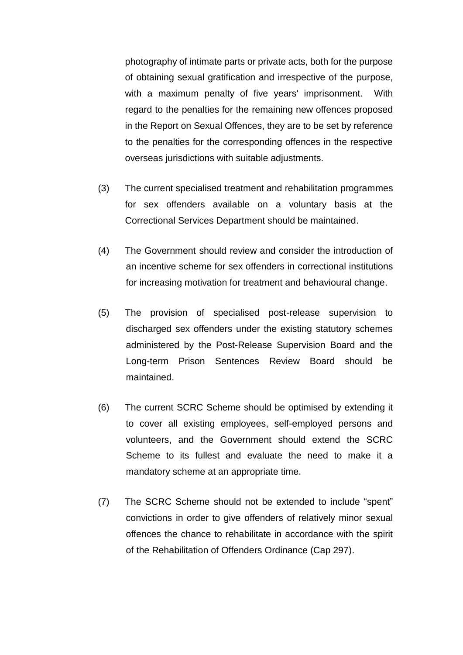photography of intimate parts or private acts, both for the purpose of obtaining sexual gratification and irrespective of the purpose, with a maximum penalty of five years' imprisonment. With regard to the penalties for the remaining new offences proposed in the Report on Sexual Offences, they are to be set by reference to the penalties for the corresponding offences in the respective overseas jurisdictions with suitable adjustments.

- (3) The current specialised treatment and rehabilitation programmes for sex offenders available on a voluntary basis at the Correctional Services Department should be maintained.
- (4) The Government should review and consider the introduction of an incentive scheme for sex offenders in correctional institutions for increasing motivation for treatment and behavioural change.
- (5) The provision of specialised post-release supervision to discharged sex offenders under the existing statutory schemes administered by the Post-Release Supervision Board and the Long-term Prison Sentences Review Board should be maintained.
- (6) The current SCRC Scheme should be optimised by extending it to cover all existing employees, self-employed persons and volunteers, and the Government should extend the SCRC Scheme to its fullest and evaluate the need to make it a mandatory scheme at an appropriate time.
- (7) The SCRC Scheme should not be extended to include "spent" convictions in order to give offenders of relatively minor sexual offences the chance to rehabilitate in accordance with the spirit of the Rehabilitation of Offenders Ordinance (Cap 297).